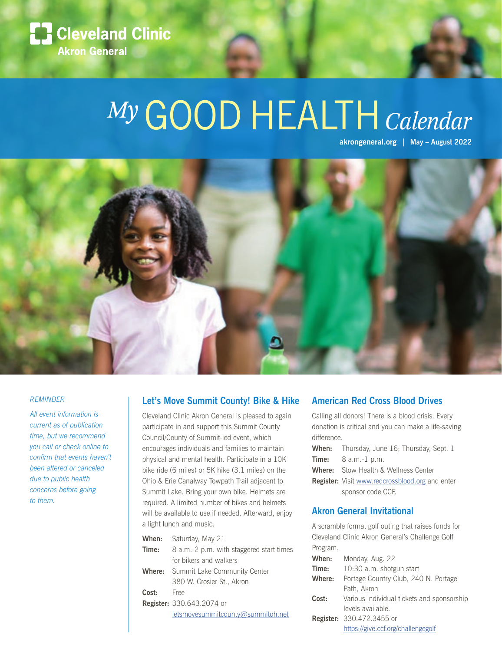

# *My*GOOD HEALTH*Calendar*

**akrongeneral.org | May – August 2022** 



#### *REMINDER*

*All event information is current as of publication time, but we recommend you call or check online to confirm that events haven't been altered or canceled due to public health concerns before going to them.* 

#### **Let's Move Summit County! Bike & Hike**

Cleveland Clinic Akron General is pleased to again participate in and support this Summit County Council/County of Summit-led event, which encourages individuals and families to maintain physical and mental health. Participate in a 10K bike ride (6 miles) or 5K hike (3.1 miles) on the Ohio & Erie Canalway Towpath Trail adjacent to Summit Lake. Bring your own bike. Helmets are required. A limited number of bikes and helmets will be available to use if needed. Afterward, enjoy a light lunch and music.

| When:  | Saturday, May 21                         |  |
|--------|------------------------------------------|--|
| Time:  | 8 a.m.-2 p.m. with staggered start times |  |
|        | for bikers and walkers                   |  |
| Where: | Summit Lake Community Center             |  |
|        | 380 W. Crosier St., Akron                |  |
| Cost:  | Free                                     |  |
|        | <b>Register:</b> 330.643.2074 or         |  |
|        | $let$ smovesummitcounty@summitoh.net     |  |
|        |                                          |  |

#### **American Red Cross Blood Drives**

Calling all donors! There is a blood crisis. Every donation is critical and you can make a life-saving difference.

| <b>When:</b> Thursday, June 16; Thursday, Sept. 1      |  |
|--------------------------------------------------------|--|
| <b>Time:</b> $8 a.m.-1 p.m.$                           |  |
| <b>Where:</b> Stow Health & Wellness Center            |  |
| <b>Register:</b> Visit www.redcrossblood.org and enter |  |

sponsor code CCF.

#### **Akron General Invitational**

A scramble format golf outing that raises funds for Cleveland Clinic Akron General's Challenge Golf Program.

| When:  | Monday, Aug. 22                            |  |
|--------|--------------------------------------------|--|
| Time:  | 10:30 a.m. shotgun start                   |  |
| Where: | Portage Country Club, 240 N. Portage       |  |
|        | Path, Akron                                |  |
| Cost:  | Various individual tickets and sponsorship |  |
|        | levels available.                          |  |
|        | <b>Register:</b> 330.472.3455 or           |  |
|        | https://give.ccf.org/challengegolf         |  |
|        |                                            |  |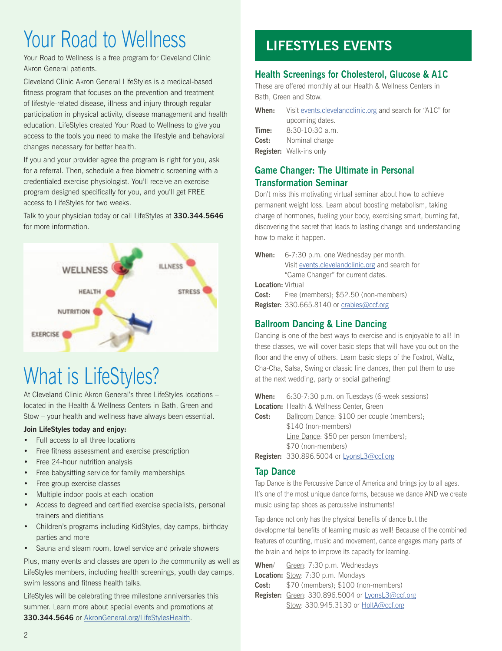## Your Road to Wellness

Your Road to Wellness is a free program for Cleveland Clinic Akron General patients.

Cleveland Clinic Akron General LifeStyles is a medical-based fitness program that focuses on the prevention and treatment of lifestyle-related disease, illness and injury through regular participation in physical activity, disease management and health education. LifeStyles created Your Road to Wellness to give you access to the tools you need to make the lifestyle and behavioral changes necessary for better health.

If you and your provider agree the program is right for you, ask for a referral. Then, schedule a free biometric screening with a credentialed exercise physiologist. You'll receive an exercise program designed specifically for you, and you'll get FREE access to LifeStyles for two weeks.

Talk to your physician today or call LifeStyles at **330.344.5646** for more information.



# What is LifeStyles?

At Cleveland Clinic Akron General's three LifeStyles locations – located in the Health & Wellness Centers in Bath, Green and Stow – your health and wellness have always been essential.

#### **Join LifeStyles today and enjoy:**

- Full access to all three locations
- Free fitness assessment and exercise prescription
- Free 24-hour nutrition analysis
- Free babysitting service for family memberships
- Free group exercise classes
- Multiple indoor pools at each location
- Access to degreed and certified exercise specialists, personal trainers and dietitians
- Children's programs including KidStyles, day camps, birthday parties and more
- Sauna and steam room, towel service and private showers

Plus, many events and classes are open to the community as well as LifeStyles members, including health screenings, youth day camps, swim lessons and fitness health talks.

LifeStyles will be celebrating three milestone anniversaries this summer. Learn more about special events and promotions at **330.344.5646** or AkronGeneral.org/LifeStylesHealth.

## **LIFESTYLES EVENTS**

### **Health Screenings for Cholesterol, Glucose & A1C**

These are offered monthly at our Health & Wellness Centers in Bath, Green and Stow.

| When: | Visit events.clevelandclinic.org and search for "A1C" for |  |
|-------|-----------------------------------------------------------|--|
|       | upcoming dates.                                           |  |
| Time: | $8:30-10:30$ a.m.                                         |  |
|       | <b>Cost:</b> Nominal charge                               |  |
|       | <b>Register:</b> Walk-ins only                            |  |

#### **Game Changer: The Ultimate in Personal Transformation Seminar**

Don't miss this motivating virtual seminar about how to achieve permanent weight loss. Learn about boosting metabolism, taking charge of hormones, fueling your body, exercising smart, burning fat, discovering the secret that leads to lasting change and understanding how to make it happen.

```
When: 6-7:30 p.m. one Wednesday per month. 
Visit events.clevelandclinic.org and search for 
"Game Changer" for current dates.
```
**Location:** Virtual

**Cost:** Free (members); \$52.50 (non-members) **Register:** 330.665.8140 or crabies@ccf.org

### **Ballroom Dancing & Line Dancing**

Dancing is one of the best ways to exercise and is enjoyable to all! In these classes, we will cover basic steps that will have you out on the floor and the envy of others. Learn basic steps of the Foxtrot, Waltz, Cha-Cha, Salsa, Swing or classic line dances, then put them to use at the next wedding, party or social gathering!

|       | <b>When:</b> $6:30-7:30 \text{ p.m.}$ on Tuesdays (6-week sessions) |  |  |
|-------|---------------------------------------------------------------------|--|--|
|       | Location: Health & Wellness Center, Green                           |  |  |
| Cost: | Ballroom Dance: \$100 per couple (members);                         |  |  |
|       | \$140 (non-members)                                                 |  |  |
|       | Line Dance: \$50 per person (members);                              |  |  |
|       | \$70 (non-members)                                                  |  |  |
|       | Register: 330.896.5004 or LyonsL3@ccf.org                           |  |  |

### **Tap Dance**

Tap Dance is the Percussive Dance of America and brings joy to all ages. It's one of the most unique dance forms, because we dance AND we create music using tap shoes as percussive instruments!

Tap dance not only has the physical benefits of dance but the developmental benefits of learning music as well! Because of the combined features of counting, music and movement, dance engages many parts of the brain and helps to improve its capacity for learning.

| Register: Green: 330.896.5004 or LyonsL3@ccf.org |  |
|--------------------------------------------------|--|
|                                                  |  |
|                                                  |  |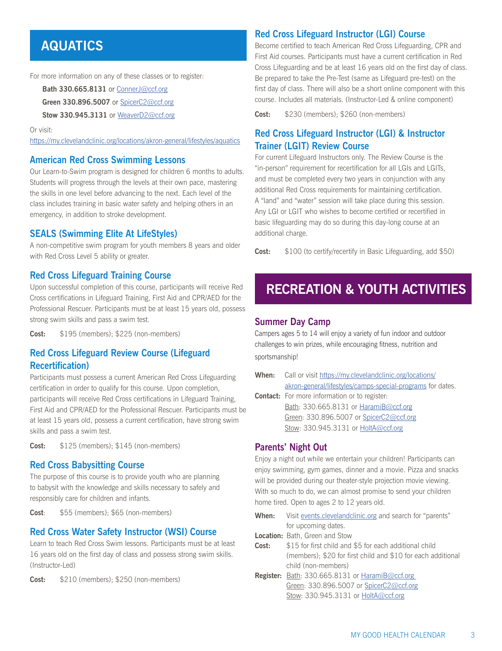## **AQUATICS**

For more information on any of these classes or to register:

**Bath 330.665.8131** or ConnerJ@ccf.org

**Green 330.896.5007** or SpicerC2@ccf.org

**Stow 330.945.3131** or WeaverD2@ccf.org

Or visit:

https://my.clevelandclinic.org/locations/akron-general/lifestyles/aquatics

#### **American Red Cross Swimming Lessons**

Our Learn-to-Swim program is designed for children 6 months to adults. Students will progress through the levels at their own pace, mastering the skills in one level before advancing to the next. Each level of the class includes training in basic water safety and helping others in an emergency, in addition to stroke development.

#### **SEALS (Swimming Elite At LifeStyles)**

A non-competitive swim program for youth members 8 years and older with Red Cross Level 5 ability or greater.

#### **Red Cross Lifeguard Training Course**

Upon successful completion of this course, participants will receive Red Cross certifications in Lifeguard Training, First Aid and CPR/AED for the Professional Rescuer. Participants must be at least 15 years old, possess strong swim skills and pass a swim test.

**Cost:** \$195 (members); \$225 (non-members)

#### **Red Cross Lifeguard Review Course (Lifeguard Recertification)**

Participants must possess a current American Red Cross Lifeguarding certification in order to qualify for this course. Upon completion, participants will receive Red Cross certifications in Lifeguard Training, First Aid and CPR/AED for the Professional Rescuer. Participants must be at least 15 years old, possess a current certification, have strong swim skills and pass a swim test.

**Cost:** \$125 (members); \$145 (non-members)

#### **Red Cross Babysitting Course**

The purpose of this course is to provide youth who are planning to babysit with the knowledge and skills necessary to safely and responsibly care for children and infants.

**Cost**: \$55 (members); \$65 (non-members)

#### **Red Cross Water Safety Instructor (WSI) Course**

Learn to teach Red Cross Swim lessons. Participants must be at least 16 years old on the first day of class and possess strong swim skills. (Instructor-Led)

**Cost:** \$210 (members); \$250 (non-members)

#### **Red Cross Lifeguard Instructor (LGI) Course**

Become certified to teach American Red Cross Lifeguarding, CPR and First Aid courses. Participants must have a current certification in Red Cross Lifeguarding and be at least 16 years old on the first day of class. Be prepared to take the Pre-Test (same as Lifeguard pre-test) on the first day of class. There will also be a short online component with this course. Includes all materials. (Instructor-Led & online component)

**Cost:** \$230 (members); \$260 (non-members)

#### **Red Cross Lifeguard Instructor (LGI) & Instructor Trainer (LGIT) Review Course**

For current Lifeguard Instructors only. The Review Course is the "in-person" requirement for recertification for all LGIs and LGITs, and must be completed every two years in conjunction with any additional Red Cross requirements for maintaining certification. A "land" and "water" session will take place during this session. Any LGI or LGIT who wishes to become certified or recertified in basic lifeguarding may do so during this day-long course at an additional charge.

**Cost:** \$100 (to certify/recertify in Basic Lifeguarding, add \$50)

## **RECREATION & YOUTH ACTIVITIES**

#### **Summer Day Camp**

Campers ages 5 to 14 will enjoy a variety of fun indoor and outdoor challenges to win prizes, while encouraging fitness, nutrition and sportsmanship!

| When: | Call or visit https://my.clevelandclinic.org/locations/    |  |
|-------|------------------------------------------------------------|--|
|       | akron-general/lifestyles/camps-special-programs for dates. |  |
|       | <b>Contact:</b> For more information or to register:       |  |
|       | Bath: 330.665.8131 or HaramiB@ccf.org                      |  |

 Green: 330.896.5007 or SpicerC2@ccf.org Stow: 330.945.3131 or HoltA@ccf.org

#### **Parents' Night Out**

Enjoy a night out while we entertain your children! Participants can enjoy swimming, gym games, dinner and a movie. Pizza and snacks will be provided during our theater-style projection movie viewing. With so much to do, we can almost promise to send your children home tired. Open to ages 2 to 12 years old.

- **When:** Visit events.clevelandclinic.org and search for "parents" for upcoming dates.
- **Location:** Bath, Green and Stow
- **Cost:** \$15 for first child and \$5 for each additional child (members); \$20 for first child and \$10 for each additional child (non-members)
- **Register:** Bath: 330.665.8131 or HaramiB@ccf.org Green: 330.896.5007 or SpicerC2@ccf.org Stow: 330.945.3131 or HoltA@ccf.org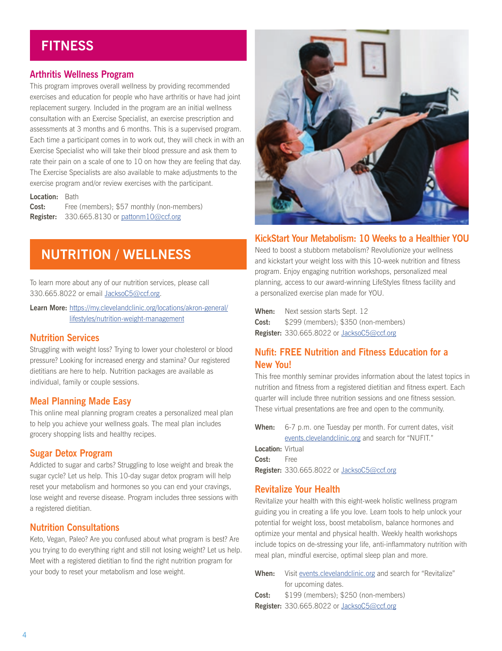## **FITNESS**

#### **Arthritis Wellness Program**

This program improves overall wellness by providing recommended exercises and education for people who have arthritis or have had joint replacement surgery. Included in the program are an initial wellness consultation with an Exercise Specialist, an exercise prescription and assessments at 3 months and 6 months. This is a supervised program. Each time a participant comes in to work out, they will check in with an Exercise Specialist who will take their blood pressure and ask them to rate their pain on a scale of one to 10 on how they are feeling that day. The Exercise Specialists are also available to make adjustments to the exercise program and/or review exercises with the participant.

#### **Location:** Bath

**Cost:** Free (members); \$57 monthly (non-members) **Register:** 330.665.8130 or pattonm10@ccf.org

## **NUTRITION / WELLNESS**

To learn more about any of our nutrition services, please call 330.665.8022 or email JacksoC5@ccf.org.

**Learn More:** https://my.clevelandclinic.org/locations/akron-general/ lifestyles/nutrition-weight-management

#### **Nutrition Services**

Struggling with weight loss? Trying to lower your cholesterol or blood pressure? Looking for increased energy and stamina? Our registered dietitians are here to help. Nutrition packages are available as individual, family or couple sessions.

#### **Meal Planning Made Easy**

This online meal planning program creates a personalized meal plan to help you achieve your wellness goals. The meal plan includes grocery shopping lists and healthy recipes.

#### **Sugar Detox Program**

Addicted to sugar and carbs? Struggling to lose weight and break the sugar cycle? Let us help. This 10-day sugar detox program will help reset your metabolism and hormones so you can end your cravings, lose weight and reverse disease. Program includes three sessions with a registered dietitian.

#### **Nutrition Consultations**

Keto, Vegan, Paleo? Are you confused about what program is best? Are you trying to do everything right and still not losing weight? Let us help. Meet with a registered dietitian to find the right nutrition program for your body to reset your metabolism and lose weight.



#### **KickStart Your Metabolism: 10 Weeks to a Healthier YOU**

Need to boost a stubborn metabolism? Revolutionize your wellness and kickstart your weight loss with this 10-week nutrition and fitness program. Enjoy engaging nutrition workshops, personalized meal planning, access to our award-winning LifeStyles fitness facility and a personalized exercise plan made for YOU.

**When:** Next session starts Sept. 12 **Cost:** \$299 (members); \$350 (non-members) **Register:** 330.665.8022 or JacksoC5@ccf.org

#### **Nufit: FREE Nutrition and Fitness Education for a New You!**

This free monthly seminar provides information about the latest topics in nutrition and fitness from a registered dietitian and fitness expert. Each quarter will include three nutrition sessions and one fitness session. These virtual presentations are free and open to the community.

**When:** 6-7 p.m. one Tuesday per month. For current dates, visit events.clevelandclinic.org and search for "NUFIT." **Location:** Virtual

**Cost:** Free **Register:** 330.665.8022 or JacksoC5@ccf.org

#### **Revitalize Your Health**

Revitalize your health with this eight-week holistic wellness program guiding you in creating a life you love. Learn tools to help unlock your potential for weight loss, boost metabolism, balance hormones and optimize your mental and physical health. Weekly health workshops include topics on de-stressing your life, anti-inflammatory nutrition with meal plan, mindful exercise, optimal sleep plan and more.

| When: | Visit events cleveland clinic org and search for "Revitalize" |  |  |
|-------|---------------------------------------------------------------|--|--|
|       | for upcoming dates.                                           |  |  |
| Cost: | \$199 (members): \$250 (non-members)                          |  |  |
|       | <b>Register:</b> 330.665.8022 or JacksoC5@ccf.org             |  |  |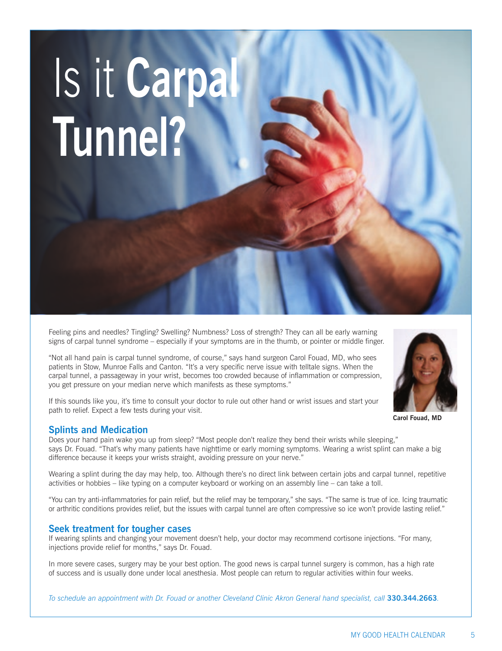# Is it **Carpal Tunnel?**

Feeling pins and needles? Tingling? Swelling? Numbness? Loss of strength? They can all be early warning signs of carpal tunnel syndrome – especially if your symptoms are in the thumb, or pointer or middle finger.

"Not all hand pain is carpal tunnel syndrome, of course," says hand surgeon Carol Fouad, MD, who sees patients in Stow, Munroe Falls and Canton. "It's a very specific nerve issue with telltale signs. When the carpal tunnel, a passageway in your wrist, becomes too crowded because of inflammation or compression, you get pressure on your median nerve which manifests as these symptoms."



#### **Splints and Medication**

path to relief. Expect a few tests during your visit.

Does your hand pain wake you up from sleep? "Most people don't realize they bend their wrists while sleeping," says Dr. Fouad. "That's why many patients have nighttime or early morning symptoms. Wearing a wrist splint can make a big difference because it keeps your wrists straight, avoiding pressure on your nerve."

Wearing a splint during the day may help, too. Although there's no direct link between certain jobs and carpal tunnel, repetitive activities or hobbies – like typing on a computer keyboard or working on an assembly line – can take a toll.

"You can try anti-inflammatories for pain relief, but the relief may be temporary," she says. "The same is true of ice. Icing traumatic or arthritic conditions provides relief, but the issues with carpal tunnel are often compressive so ice won't provide lasting relief."

#### **Seek treatment for tougher cases**

If wearing splints and changing your movement doesn't help, your doctor may recommend cortisone injections. "For many, injections provide relief for months," says Dr. Fouad.

In more severe cases, surgery may be your best option. The good news is carpal tunnel surgery is common, has a high rate of success and is usually done under local anesthesia. Most people can return to regular activities within four weeks.

*To schedule an appointment with Dr. Fouad or another Cleveland Clinic Akron General hand specialist, call* **330.344.2663***.*

**Carol Fouad, MD**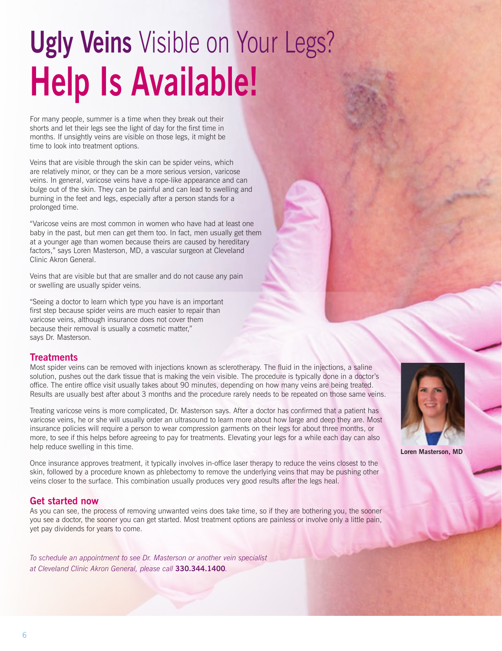# **Ugly Veins** Visible on Your Legs? **Help Is Available!**

For many people, summer is a time when they break out their shorts and let their legs see the light of day for the first time in months. If unsightly veins are visible on those legs, it might be time to look into treatment options.

Veins that are visible through the skin can be spider veins, which are relatively minor, or they can be a more serious version, varicose veins. In general, varicose veins have a rope-like appearance and can bulge out of the skin. They can be painful and can lead to swelling and burning in the feet and legs, especially after a person stands for a prolonged time.

"Varicose veins are most common in women who have had at least one baby in the past, but men can get them too. In fact, men usually get them at a younger age than women because theirs are caused by hereditary factors," says Loren Masterson, MD, a vascular surgeon at Cleveland Clinic Akron General.

Veins that are visible but that are smaller and do not cause any pain or swelling are usually spider veins.

"Seeing a doctor to learn which type you have is an important first step because spider veins are much easier to repair than varicose veins, although insurance does not cover them because their removal is usually a cosmetic matter," says Dr. Masterson.

#### **Treatments**

Most spider veins can be removed with injections known as sclerotherapy. The fluid in the injections, a saline solution, pushes out the dark tissue that is making the vein visible. The procedure is typically done in a doctor's office. The entire office visit usually takes about 90 minutes, depending on how many veins are being treated. Results are usually best after about 3 months and the procedure rarely needs to be repeated on those same veins.

Treating varicose veins is more complicated, Dr. Masterson says. After a doctor has confirmed that a patient has varicose veins, he or she will usually order an ultrasound to learn more about how large and deep they are. Most insurance policies will require a person to wear compression garments on their legs for about three months, or more, to see if this helps before agreeing to pay for treatments. Elevating your legs for a while each day can also help reduce swelling in this time.

Once insurance approves treatment, it typically involves in-office laser therapy to reduce the veins closest to the skin, followed by a procedure known as phlebectomy to remove the underlying veins that may be pushing other veins closer to the surface. This combination usually produces very good results after the legs heal.

#### **Get started now**

As you can see, the process of removing unwanted veins does take time, so if they are bothering you, the sooner you see a doctor, the sooner you can get started. Most treatment options are painless or involve only a little pain, yet pay dividends for years to come.

*To schedule an appointment to see Dr. Masterson or another vein specialist at Cleveland Clinic Akron General, please call* **330.344.1400***.*



**Loren Masterson, MD**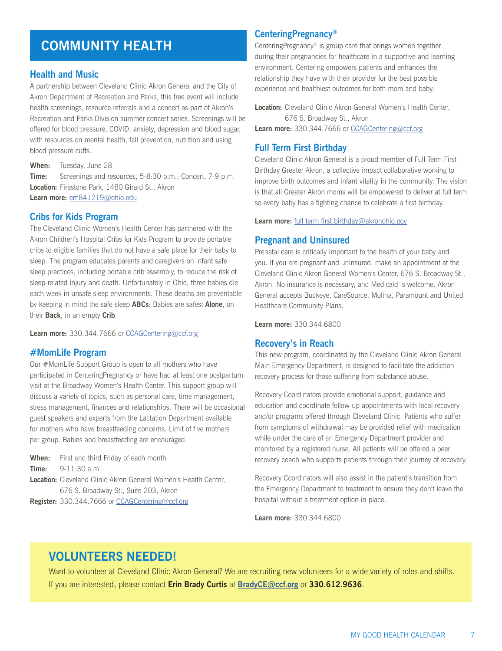## **COMMUNITY HEALTH**

#### **Health and Music**

A partnership between Cleveland Clinic Akron General and the City of Akron Department of Recreation and Parks, this free event will include health screenings, resource referrals and a concert as part of Akron's Recreation and Parks Division summer concert series. Screenings will be offered for blood pressure, COVID, anxiety, depression and blood sugar, with resources on mental health, fall prevention, nutrition and using blood pressure cuffs.

**When:** Tuesday, June 28 **Time:** Screenings and resources, 5-8:30 p.m.; Concert, 7-9 p.m. **Location:** Firestone Park, 1480 Girard St., Akron **Learn more:** em841219@ohio.edu

#### **Cribs for Kids Program**

The Cleveland Clinic Women's Health Center has partnered with the Akron Children's Hospital Cribs for Kids Program to provide portable cribs to eligible families that do not have a safe place for their baby to sleep. The program educates parents and caregivers on infant safe sleep practices, including portable crib assembly, to reduce the risk of sleep-related injury and death. Unfortunately in Ohio, three babies die each week in unsafe sleep environments. These deaths are preventable by keeping in mind the safe sleep **ABCs**: Babies are safest **Alone**, on their **Back**, in an empty **Crib**.

**Learn more:** 330.344.7666 or CCAGCentering@ccf.org

#### **#MomLife Program**

Our #MomLife Support Group is open to all mothers who have participated in CenteringPregnancy or have had at least one postpartum visit at the Broadway Women's Health Center. This support group will discuss a variety of topics, such as personal care, time management, stress management, finances and relationships. There will be occasional guest speakers and experts from the Lactation Department available for mothers who have breastfeeding concerns. Limit of five mothers per group. Babies and breastfeeding are encouraged.

- **When:** First and third Friday of each month **Time:** 9-11:30 a.m. **Location:** Cleveland Clinic Akron General Women's Health Center,
- 676 S. Broadway St., Suite 203, Akron

**Register:** 330.344.7666 or CCAGCentering@ccf.org

#### **CenteringPregnancy®**

CenteringPregnancy® is group care that brings women together during their pregnancies for healthcare in a supportive and learning environment. Centering empowers patients and enhances the relationship they have with their provider for the best possible experience and healthiest outcomes for both mom and baby.

**Location:** Cleveland Clinic Akron General Women's Health Center, 676 S. Broadway St., Akron **Learn more:** 330.344.7666 or CCAGCentering@ccf.org

#### **Full Term First Birthday**

Cleveland Clinic Akron General is a proud member of Full Term First Birthday Greater Akron, a collective impact collaborative working to improve birth outcomes and infant vitality in the community. The vision is that all Greater Akron moms will be empowered to deliver at full term so every baby has a fighting chance to celebrate a first birthday.

**Learn more:** full term first birthday@akronohio.gov

#### **Pregnant and Uninsured**

Prenatal care is critically important to the health of your baby and you. If you are pregnant and uninsured, make an appointment at the Cleveland Clinic Akron General Women's Center, 676 S. Broadway St., Akron. No insurance is necessary, and Medicaid is welcome. Akron General accepts Buckeye, CareSource, Molina, Paramount and United Healthcare Community Plans.

**Learn more:** 330.344.6800

#### **Recovery's in Reach**

This new program, coordinated by the Cleveland Clinic Akron General Main Emergency Department, is designed to facilitate the addiction recovery process for those suffering from substance abuse.

Recovery Coordinators provide emotional support, guidance and education and coordinate follow-up appointments with local recovery and/or programs offered through Cleveland Clinic. Patients who suffer from symptoms of withdrawal may be provided relief with medication while under the care of an Emergency Department provider and monitored by a registered nurse. All patients will be offered a peer recovery coach who supports patients through their journey of recovery.

Recovery Coordinators will also assist in the patient's transition from the Emergency Department to treatment to ensure they don't leave the hospital without a treatment option in place.

**Learn more:** 330.344.6800

## **VOLUNTEERS NEEDED!**

Want to volunteer at Cleveland Clinic Akron General? We are recruiting new volunteers for a wide variety of roles and shifts. If you are interested, please contact **Erin Brady Curtis** at **BradyCE@ccf.org** or **330.612.9636**.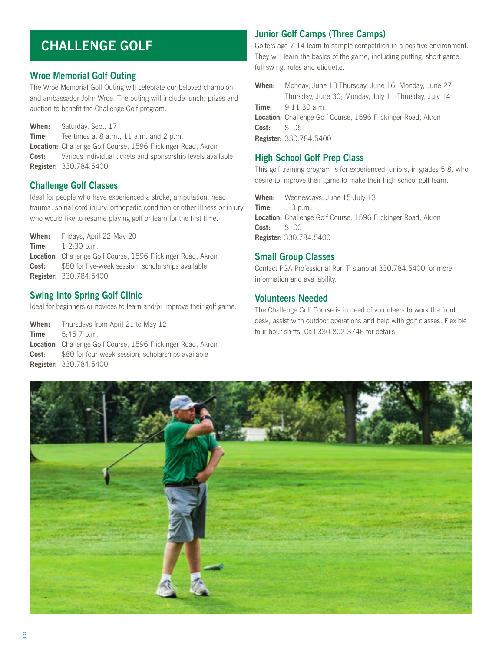## **CHALLENGE GOLF**

#### **Wroe Memorial Golf Outing**

The Wroe Memorial Golf Outing will celebrate our beloved champion and ambassador John Wroe. The outing will include lunch, prizes and auction to benefit the Challenge Golf program.

**When:** Saturday, Sept. 17 **Time:** Tee-times at 8 a.m., 11 a.m. and 2 p.m. **Location:** Challenge Golf Course, 1596 Flickinger Road, Akron **Cost:** Various individual tickets and sponsorship levels available **Register:** 330.784.5400

#### **Challenge Golf Classes**

Ideal for people who have experienced a stroke, amputation, head trauma, spinal cord injury, orthopedic condition or other illness or injury, who would like to resume playing golf or learn for the first time.

**When:** Fridays, April 22-May 20 **Time:** 1-2:30 p.m. **Location:** Challenge Golf Course, 1596 Flickinger Road, Akron **Cost:** \$80 for five-week session; scholarships available **Register:** 330.784.5400

#### **Swing Into Spring Golf Clinic**

Ideal for beginners or novices to learn and/or improve their golf game.

**When:** Thursdays from April 21 to May 12 **Time**: 5:45-7 p.m. **Location:** Challenge Golf Course, 1596 Flickinger Road, Akron **Cost**: \$80 for four-week session; scholarships available **Register:** 330.784.5400

#### **Junior Golf Camps (Three Camps)**

Golfers age 7-14 learn to sample competition in a positive environment. They will learn the basics of the game, including putting, short game, full swing, rules and etiquette.

**When:** Monday, June 13-Thursday, June 16; Monday, June 27- Thursday, June 30; Monday, July 11-Thursday, July 14 **Time:** 9-11:30 a.m. **Location:** Challenge Golf Course, 1596 Flickinger Road, Akron **Cost:** \$105 **Register:** 330.784.5400

#### **High School Golf Prep Class**

This golf training program is for experienced juniors, in grades 5-8, who desire to improve their game to make their high school golf team.

**When:** Wednesdays, June 15-July 13 **Time:** 1-3 p.m. **Location:** Challenge Golf Course, 1596 Flickinger Road, Akron **Cost:** \$100 **Register:** 330.784.5400

#### **Small Group Classes**

Contact PGA Professional Ron Tristano at 330.784.5400 for more information and availability.

#### **Volunteers Needed**

The Challenge Golf Course is in need of volunteers to work the front desk, assist with outdoor operations and help with golf classes. Flexible four-hour shifts. Call 330.802.3746 for details.

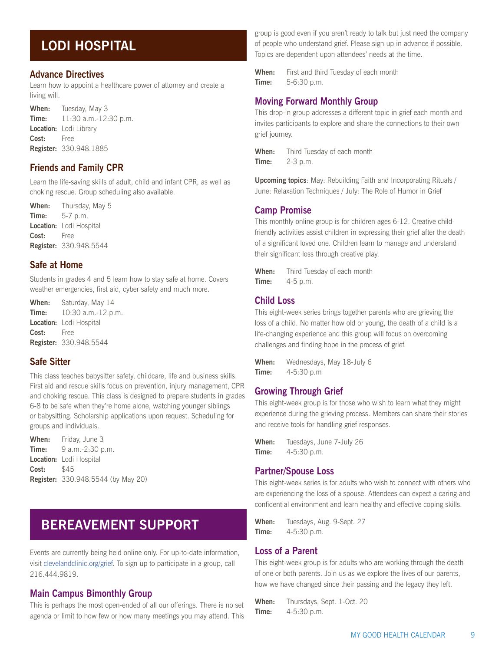## **LODI HOSPITAL**

#### **Advance Directives**

Learn how to appoint a healthcare power of attorney and create a living will.

**When:** Tuesday, May 3 **Time:** 11:30 a.m.-12:30 p.m. **Location:** Lodi Library **Cost:** Free **Register:** 330.948.1885

#### **Friends and Family CPR**

Learn the life-saving skills of adult, child and infant CPR, as well as choking rescue. Group scheduling also available.

**When:** Thursday, May 5 **Time:** 5-7 p.m. **Location:** Lodi Hospital **Cost:** Free **Register:** 330.948.5544

#### **Safe at Home**

Students in grades 4 and 5 learn how to stay safe at home. Covers weather emergencies, first aid, cyber safety and much more.

**When:** Saturday, May 14 **Time:** 10:30 a.m.-12 p.m. **Location:** Lodi Hospital **Cost:** Free **Register:** 330.948.5544

#### **Safe Sitter**

This class teaches babysitter safety, childcare, life and business skills. First aid and rescue skills focus on prevention, injury management, CPR and choking rescue. This class is designed to prepare students in grades 6-8 to be safe when they're home alone, watching younger siblings or babysitting. Scholarship applications upon request. Scheduling for groups and individuals.

**When:** Friday, June 3 **Time:** 9 a.m.-2:30 p.m. **Location:** Lodi Hospital **Cost:** \$45 **Register:** 330.948.5544 (by May 20)

## **BEREAVEMENT SUPPORT**

Events are currently being held online only. For up-to-date information, visit clevelandclinic.org/grief. To sign up to participate in a group, call 216.444.9819.

#### **Main Campus Bimonthly Group**

This is perhaps the most open-ended of all our offerings. There is no set agenda or limit to how few or how many meetings you may attend. This group is good even if you aren't ready to talk but just need the company of people who understand grief. Please sign up in advance if possible. Topics are dependent upon attendees' needs at the time.

**When:** First and third Tuesday of each month **Time:** 5-6:30 p.m.

#### **Moving Forward Monthly Group**

This drop-in group addresses a different topic in grief each month and invites participants to explore and share the connections to their own grief journey.

**When:** Third Tuesday of each month **Time:** 2-3 p.m.

**Upcoming topics**: May: Rebuilding Faith and Incorporating Rituals / June: Relaxation Techniques / July: The Role of Humor in Grief

#### **Camp Promise**

This monthly online group is for children ages 6-12. Creative childfriendly activities assist children in expressing their grief after the death of a significant loved one. Children learn to manage and understand their significant loss through creative play.

**When:** Third Tuesday of each month **Time:** 4-5 p.m.

#### **Child Loss**

This eight-week series brings together parents who are grieving the loss of a child. No matter how old or young, the death of a child is a life-changing experience and this group will focus on overcoming challenges and finding hope in the process of grief.

**When:** Wednesdays, May 18-July 6 **Time:** 4-5:30 p.m

#### **Growing Through Grief**

This eight-week group is for those who wish to learn what they might experience during the grieving process. Members can share their stories and receive tools for handling grief responses.

**When:** Tuesdays, June 7-July 26 **Time:** 4-5:30 p.m.

#### **Partner/Spouse Loss**

This eight-week series is for adults who wish to connect with others who are experiencing the loss of a spouse. Attendees can expect a caring and confidential environment and learn healthy and effective coping skills.

**When:** Tuesdays, Aug. 9-Sept. 27 **Time:** 4-5:30 p.m.

#### **Loss of a Parent**

This eight-week group is for adults who are working through the death of one or both parents. Join us as we explore the lives of our parents, how we have changed since their passing and the legacy they left.

**When:** Thursdays, Sept. 1-Oct. 20 **Time:** 4-5:30 p.m.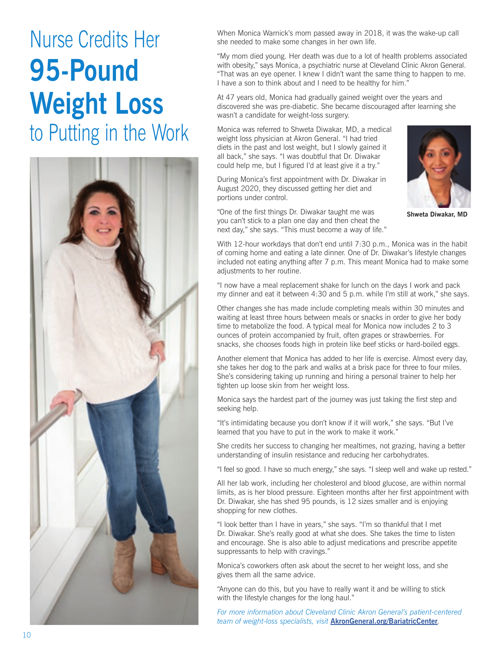# Nurse Credits Her **95-Pound Weight Loss**  to Putting in the Work



When Monica Warnick's mom passed away in 2018, it was the wake-up call she needed to make some changes in her own life.

"My mom died young. Her death was due to a lot of health problems associated with obesity," says Monica, a psychiatric nurse at Cleveland Clinic Akron General. "That was an eye opener. I knew I didn't want the same thing to happen to me. I have a son to think about and I need to be healthy for him."

At 47 years old, Monica had gradually gained weight over the years and discovered she was pre-diabetic. She became discouraged after learning she wasn't a candidate for weight-loss surgery.

Monica was referred to Shweta Diwakar, MD, a medical weight loss physician at Akron General. "I had tried diets in the past and lost weight, but I slowly gained it all back," she says. "I was doubtful that Dr. Diwakar could help me, but I figured I'd at least give it a try."

During Monica's first appointment with Dr. Diwakar in August 2020, they discussed getting her diet and portions under control.



**Shweta Diwakar, MD**

"One of the first things Dr. Diwakar taught me was you can't stick to a plan one day and then cheat the next day," she says. "This must become a way of life."

With 12-hour workdays that don't end until 7:30 p.m., Monica was in the habit of coming home and eating a late dinner. One of Dr. Diwakar's lifestyle changes included not eating anything after 7 p.m. This meant Monica had to make some adjustments to her routine.

"I now have a meal replacement shake for lunch on the days I work and pack my dinner and eat it between 4:30 and 5 p.m. while I'm still at work," she says.

Other changes she has made include completing meals within 30 minutes and waiting at least three hours between meals or snacks in order to give her body time to metabolize the food. A typical meal for Monica now includes 2 to 3 ounces of protein accompanied by fruit, often grapes or strawberries. For snacks, she chooses foods high in protein like beef sticks or hard-boiled eggs.

Another element that Monica has added to her life is exercise. Almost every day, she takes her dog to the park and walks at a brisk pace for three to four miles. She's considering taking up running and hiring a personal trainer to help her tighten up loose skin from her weight loss.

Monica says the hardest part of the journey was just taking the first step and seeking help.

"It's intimidating because you don't know if it will work," she says. "But I've learned that you have to put in the work to make it work."

She credits her success to changing her mealtimes, not grazing, having a better understanding of insulin resistance and reducing her carbohydrates.

"I feel so good. I have so much energy," she says. "I sleep well and wake up rested."

All her lab work, including her cholesterol and blood glucose, are within normal limits, as is her blood pressure. Eighteen months after her first appointment with Dr. Diwakar, she has shed 95 pounds, is 12 sizes smaller and is enjoying shopping for new clothes.

"I look better than I have in years," she says. "I'm so thankful that I met Dr. Diwakar. She's really good at what she does. She takes the time to listen and encourage. She is also able to adjust medications and prescribe appetite suppressants to help with cravings."

Monica's coworkers often ask about the secret to her weight loss, and she gives them all the same advice.

"Anyone can do this, but you have to really want it and be willing to stick with the lifestyle changes for the long haul."

*For more information about Cleveland Clinic Akron General's patient-centered team of weight-loss specialists, visit* **AkronGeneral.org/BariatricCenter***.*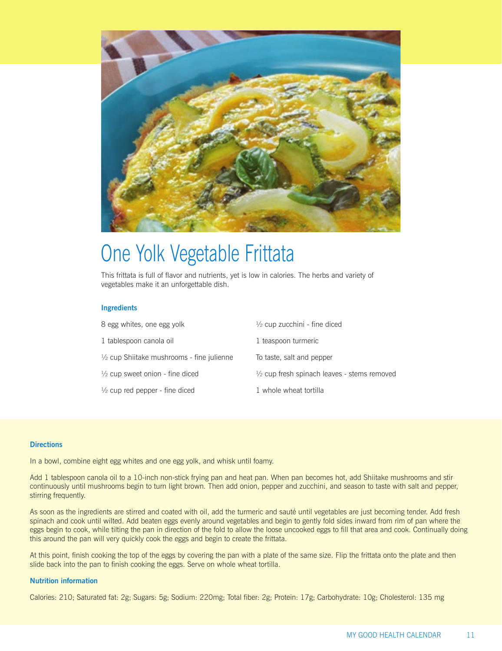

## One Yolk Vegetable Frittata

This frittata is full of flavor and nutrients, yet is low in calories. The herbs and variety of vegetables make it an unforgettable dish.

#### **Ingredients**

| 8 egg whites, one egg yolk                           | $\frac{1}{2}$ cup zucchini - fine diced                |
|------------------------------------------------------|--------------------------------------------------------|
| 1 tablespoon canola oil                              | 1 teaspoon turmeric                                    |
| $\frac{1}{2}$ cup Shiitake mushrooms - fine julienne | To taste, salt and pepper                              |
| $\frac{1}{2}$ cup sweet onion - fine diced           | $\frac{1}{2}$ cup fresh spinach leaves - stems removed |
| $\frac{1}{2}$ cup red pepper - fine diced            | 1 whole wheat tortilla                                 |

#### **Directions**

In a bowl, combine eight egg whites and one egg yolk, and whisk until foamy.

Add 1 tablespoon canola oil to a 10-inch non-stick frying pan and heat pan. When pan becomes hot, add Shiitake mushrooms and stir continuously until mushrooms begin to turn light brown. Then add onion, pepper and zucchini, and season to taste with salt and pepper, stirring frequently.

As soon as the ingredients are stirred and coated with oil, add the turmeric and sauté until vegetables are just becoming tender. Add fresh spinach and cook until wilted. Add beaten eggs evenly around vegetables and begin to gently fold sides inward from rim of pan where the eggs begin to cook, while tilting the pan in direction of the fold to allow the loose uncooked eggs to fill that area and cook. Continually doing this around the pan will very quickly cook the eggs and begin to create the frittata.

At this point, finish cooking the top of the eggs by covering the pan with a plate of the same size. Flip the frittata onto the plate and then slide back into the pan to finish cooking the eggs. Serve on whole wheat tortilla.

#### **Nutrition information**

Calories: 210; Saturated fat: 2g; Sugars: 5g; Sodium: 220mg; Total fiber: 2g; Protein: 17g; Carbohydrate: 10g; Cholesterol: 135 mg